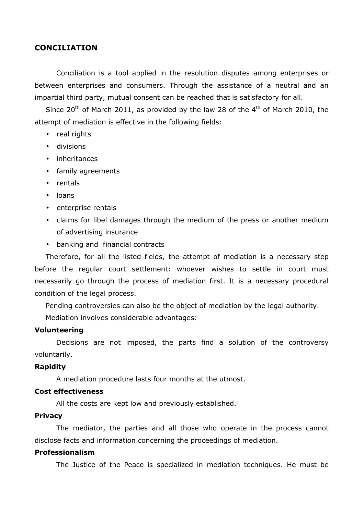# **CONCILIATION**

Conciliation is a tool applied in the resolution disputes among enterprises or between enterprises and consumers. Through the assistance of a neutral and an impartial third party, mutual consent can be reached that is satisfactory for all.

Since  $20^{th}$  of March 2011, as provided by the law 28 of the  $4^{th}$  of March 2010, the attempt of mediation is effective in the following fields:

- real rights
- divisions
- inheritances
- family agreements
- rentals
- loans
- enterprise rentals
- claims for libel damages through the medium of the press or another medium of advertising insurance
- banking and financial contracts

Therefore, for all the listed fields, the attempt of mediation is a necessary step before the regular court settlement: whoever wishes to settle in court must necessarily go through the process of mediation first. It is a necessary procedural condition of the legal process.

Pending controversies can also be the object of mediation by the legal authority.

Mediation involves considerable advantages:

## **Volunteering**

Decisions are not imposed, the parts find a solution of the controversy voluntarily.

#### **Rapidity**

A mediation procedure lasts four months at the utmost.

## **Cost effectiveness**

All the costs are kept low and previously established.

## **Privacy**

The mediator, the parties and all those who operate in the process cannot disclose facts and information concerning the proceedings of mediation.

# **Professionalism**

The Justice of the Peace is specialized in mediation techniques. He must be